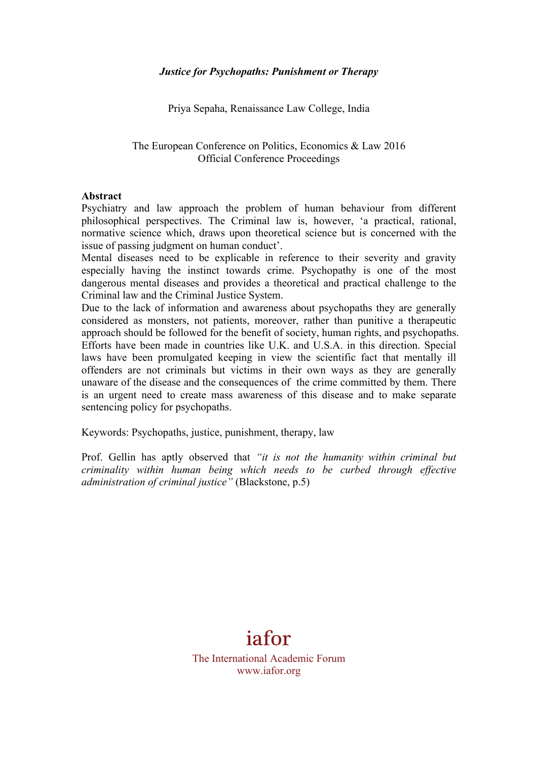Priya Sepaha, Renaissance Law College, India

#### The European Conference on Politics, Economics & Law 2016 Official Conference Proceedings

#### **Abstract**

Psychiatry and law approach the problem of human behaviour from different philosophical perspectives. The Criminal law is, however, 'a practical, rational, normative science which, draws upon theoretical science but is concerned with the issue of passing judgment on human conduct'.

Mental diseases need to be explicable in reference to their severity and gravity especially having the instinct towards crime. Psychopathy is one of the most dangerous mental diseases and provides a theoretical and practical challenge to the Criminal law and the Criminal Justice System.

Due to the lack of information and awareness about psychopaths they are generally considered as monsters, not patients, moreover, rather than punitive a therapeutic approach should be followed for the benefit of society, human rights, and psychopaths. Efforts have been made in countries like U.K. and U.S.A. in this direction. Special laws have been promulgated keeping in view the scientific fact that mentally ill offenders are not criminals but victims in their own ways as they are generally unaware of the disease and the consequences of the crime committed by them. There is an urgent need to create mass awareness of this disease and to make separate sentencing policy for psychopaths.

Keywords: Psychopaths, justice, punishment, therapy, law

Prof. Gellin has aptly observed that *"it is not the humanity within criminal but criminality within human being which needs to be curbed through effective administration of criminal justice"* (Blackstone, p.5)

# iafor

The International Academic Forum www.iafor.org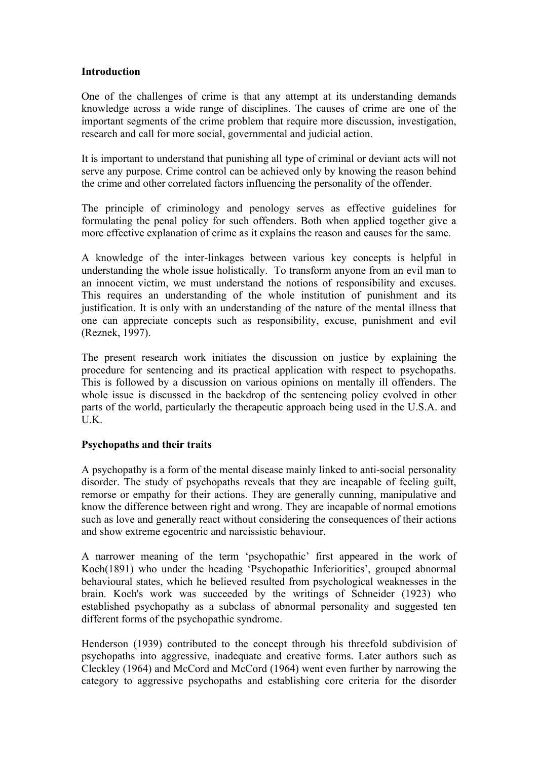#### **Introduction**

One of the challenges of crime is that any attempt at its understanding demands knowledge across a wide range of disciplines. The causes of crime are one of the important segments of the crime problem that require more discussion, investigation, research and call for more social, governmental and judicial action.

It is important to understand that punishing all type of criminal or deviant acts will not serve any purpose. Crime control can be achieved only by knowing the reason behind the crime and other correlated factors influencing the personality of the offender.

The principle of criminology and penology serves as effective guidelines for formulating the penal policy for such offenders. Both when applied together give a more effective explanation of crime as it explains the reason and causes for the same.

A knowledge of the inter-linkages between various key concepts is helpful in understanding the whole issue holistically. To transform anyone from an evil man to an innocent victim, we must understand the notions of responsibility and excuses. This requires an understanding of the whole institution of punishment and its justification. It is only with an understanding of the nature of the mental illness that one can appreciate concepts such as responsibility, excuse, punishment and evil (Reznek, 1997).

The present research work initiates the discussion on justice by explaining the procedure for sentencing and its practical application with respect to psychopaths. This is followed by a discussion on various opinions on mentally ill offenders. The whole issue is discussed in the backdrop of the sentencing policy evolved in other parts of the world, particularly the therapeutic approach being used in the U.S.A. and U.K.

## **Psychopaths and their traits**

A psychopathy is a form of the mental disease mainly linked to anti-social personality disorder. The study of psychopaths reveals that they are incapable of feeling guilt, remorse or empathy for their actions. They are generally cunning, manipulative and know the difference between right and wrong. They are incapable of normal emotions such as love and generally react without considering the consequences of their actions and show extreme egocentric and narcissistic behaviour.

A narrower meaning of the term 'psychopathic' first appeared in the work of Koch(1891) who under the heading 'Psychopathic Inferiorities', grouped abnormal behavioural states, which he believed resulted from psychological weaknesses in the brain. Koch's work was succeeded by the writings of Schneider (1923) who established psychopathy as a subclass of abnormal personality and suggested ten different forms of the psychopathic syndrome.

Henderson (1939) contributed to the concept through his threefold subdivision of psychopaths into aggressive, inadequate and creative forms. Later authors such as Cleckley (1964) and McCord and McCord (1964) went even further by narrowing the category to aggressive psychopaths and establishing core criteria for the disorder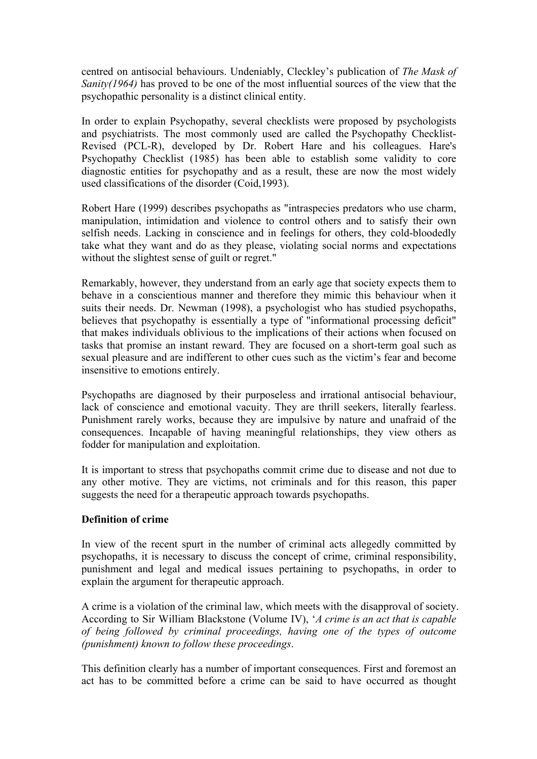centred on antisocial behaviours. Undeniably, Cleckley's publication of *The Mask of Sanity(1964)* has proved to be one of the most influential sources of the view that the psychopathic personality is a distinct clinical entity.

In order to explain Psychopathy, several checklists were proposed by psychologists and psychiatrists. The most commonly used are called the Psychopathy Checklist-Revised (PCL-R), developed by Dr. Robert Hare and his colleagues. Hare's Psychopathy Checklist (1985) has been able to establish some validity to core diagnostic entities for psychopathy and as a result, these are now the most widely used classifications of the disorder (Coid,1993).

Robert Hare (1999) describes psychopaths as "intraspecies predators who use charm, manipulation, intimidation and violence to control others and to satisfy their own selfish needs. Lacking in conscience and in feelings for others, they cold-bloodedly take what they want and do as they please, violating social norms and expectations without the slightest sense of guilt or regret."

Remarkably, however, they understand from an early age that society expects them to behave in a conscientious manner and therefore they mimic this behaviour when it suits their needs. Dr. Newman (1998), a psychologist who has studied psychopaths, believes that psychopathy is essentially a type of "informational processing deficit" that makes individuals oblivious to the implications of their actions when focused on tasks that promise an instant reward. They are focused on a short-term goal such as sexual pleasure and are indifferent to other cues such as the victim's fear and become insensitive to emotions entirely.

Psychopaths are diagnosed by their purposeless and irrational antisocial behaviour, lack of conscience and emotional vacuity. They are thrill seekers, literally fearless. Punishment rarely works, because they are impulsive by nature and unafraid of the consequences. Incapable of having meaningful relationships, they view others as fodder for manipulation and exploitation.

It is important to stress that psychopaths commit crime due to disease and not due to any other motive. They are victims, not criminals and for this reason, this paper suggests the need for a therapeutic approach towards psychopaths.

## **Definition of crime**

In view of the recent spurt in the number of criminal acts allegedly committed by psychopaths, it is necessary to discuss the concept of crime, criminal responsibility, punishment and legal and medical issues pertaining to psychopaths, in order to explain the argument for therapeutic approach.

A crime is a violation of the criminal law, which meets with the disapproval of society. According to Sir William Blackstone (Volume IV), '*A crime is an act that is capable of being followed by criminal proceedings, having one of the types of outcome (punishment) known to follow these proceedings*.

This definition clearly has a number of important consequences. First and foremost an act has to be committed before a crime can be said to have occurred as thought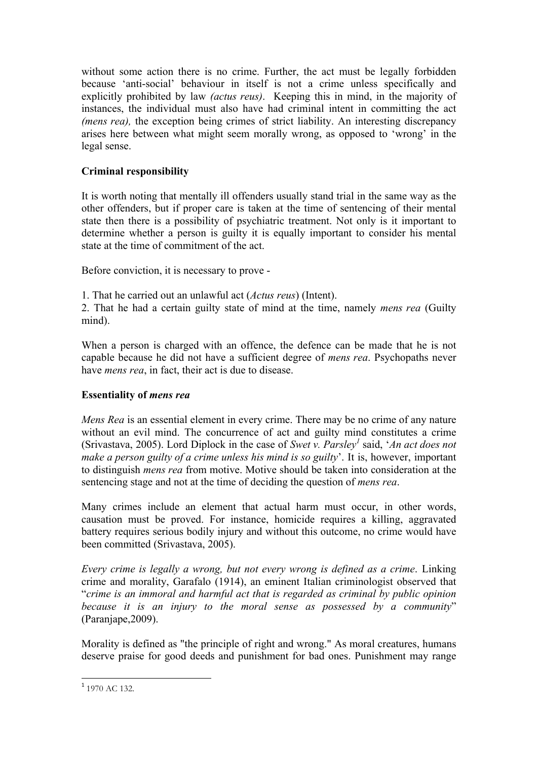without some action there is no crime. Further, the act must be legally forbidden because 'anti-social' behaviour in itself is not a crime unless specifically and explicitly prohibited by law *(actus reus)*. Keeping this in mind, in the majority of instances, the individual must also have had criminal intent in committing the act *(mens rea),* the exception being crimes of strict liability. An interesting discrepancy arises here between what might seem morally wrong, as opposed to 'wrong' in the legal sense.

# **Criminal responsibility**

It is worth noting that mentally ill offenders usually stand trial in the same way as the other offenders, but if proper care is taken at the time of sentencing of their mental state then there is a possibility of psychiatric treatment. Not only is it important to determine whether a person is guilty it is equally important to consider his mental state at the time of commitment of the act.

Before conviction, it is necessary to prove -

1. That he carried out an unlawful act (*Actus reus*) (Intent).

2. That he had a certain guilty state of mind at the time, namely *mens rea* (Guilty mind).

When a person is charged with an offence, the defence can be made that he is not capable because he did not have a sufficient degree of *mens rea*. Psychopaths never have *mens rea*, in fact, their act is due to disease.

## **Essentiality of** *mens rea*

*Mens Rea* is an essential element in every crime. There may be no crime of any nature without an evil mind. The concurrence of act and guilty mind constitutes a crime (Srivastava, 2005). Lord Diplock in the case of *Swet v. Parslev*<sup>1</sup> said, 'An act does not *make a person guilty of a crime unless his mind is so guilty*'. It is, however, important to distinguish *mens rea* from motive. Motive should be taken into consideration at the sentencing stage and not at the time of deciding the question of *mens rea*.

Many crimes include an element that actual harm must occur, in other words, causation must be proved. For instance, homicide requires a killing, aggravated battery requires serious bodily injury and without this outcome, no crime would have been committed (Srivastava, 2005).

*Every crime is legally a wrong, but not every wrong is defined as a crime*. Linking crime and morality, Garafalo (1914), an eminent Italian criminologist observed that "*crime is an immoral and harmful act that is regarded as criminal by public opinion because it is an injury to the moral sense as possessed by a community*" (Paranjape,2009).

Morality is defined as "the principle of right and wrong." As moral creatures, humans deserve praise for good deeds and punishment for bad ones. Punishment may range

<u> 1989 - Johann Stein, mars et al. 1989 - Anna ann an t-Anna ann an t-Anna ann an t-Anna ann an t-Anna ann an t-</u>

 $1$  1970 AC 132.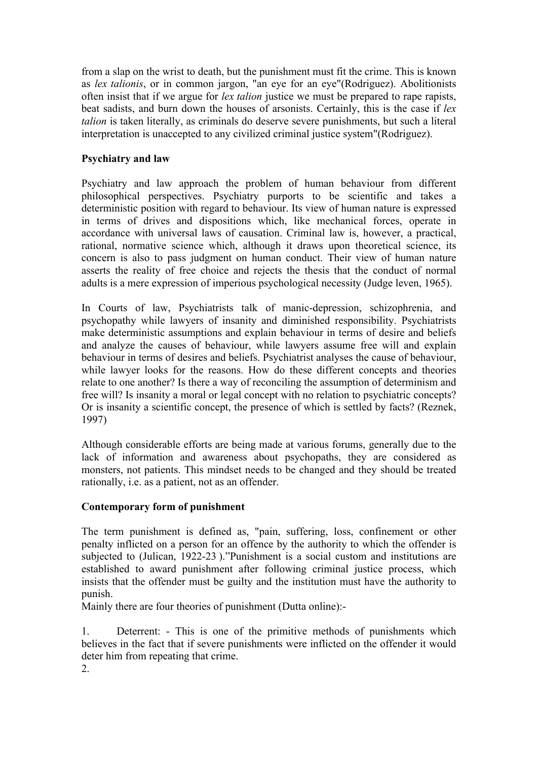from a slap on the wrist to death, but the punishment must fit the crime. This is known as *lex talionis*, or in common jargon, "an eye for an eye"(Rodriguez). Abolitionists often insist that if we argue for *lex talion* justice we must be prepared to rape rapists, beat sadists, and burn down the houses of arsonists. Certainly, this is the case if *lex talion* is taken literally, as criminals do deserve severe punishments, but such a literal interpretation is unaccepted to any civilized criminal justice system"(Rodriguez).

### **Psychiatry and law**

Psychiatry and law approach the problem of human behaviour from different philosophical perspectives. Psychiatry purports to be scientific and takes a deterministic position with regard to behaviour. Its view of human nature is expressed in terms of drives and dispositions which, like mechanical forces, operate in accordance with universal laws of causation. Criminal law is, however, a practical, rational, normative science which, although it draws upon theoretical science, its concern is also to pass judgment on human conduct. Their view of human nature asserts the reality of free choice and rejects the thesis that the conduct of normal adults is a mere expression of imperious psychological necessity (Judge leven, 1965).

In Courts of law, Psychiatrists talk of manic-depression, schizophrenia, and psychopathy while lawyers of insanity and diminished responsibility. Psychiatrists make deterministic assumptions and explain behaviour in terms of desire and beliefs and analyze the causes of behaviour, while lawyers assume free will and explain behaviour in terms of desires and beliefs. Psychiatrist analyses the cause of behaviour, while lawyer looks for the reasons. How do these different concepts and theories relate to one another? Is there a way of reconciling the assumption of determinism and free will? Is insanity a moral or legal concept with no relation to psychiatric concepts? Or is insanity a scientific concept, the presence of which is settled by facts? (Reznek, 1997)

Although considerable efforts are being made at various forums, generally due to the lack of information and awareness about psychopaths, they are considered as monsters, not patients. This mindset needs to be changed and they should be treated rationally, i.e. as a patient, not as an offender.

## **Contemporary form of punishment**

The term punishment is defined as, "pain, suffering, loss, confinement or other penalty inflicted on a person for an offence by the authority to which the offender is subjected to (Julican, 1922-23 )."Punishment is a social custom and institutions are established to award punishment after following criminal justice process, which insists that the offender must be guilty and the institution must have the authority to punish.

Mainly there are four theories of punishment (Dutta online):-

1. Deterrent: - This is one of the primitive methods of punishments which believes in the fact that if severe punishments were inflicted on the offender it would deter him from repeating that crime.

2.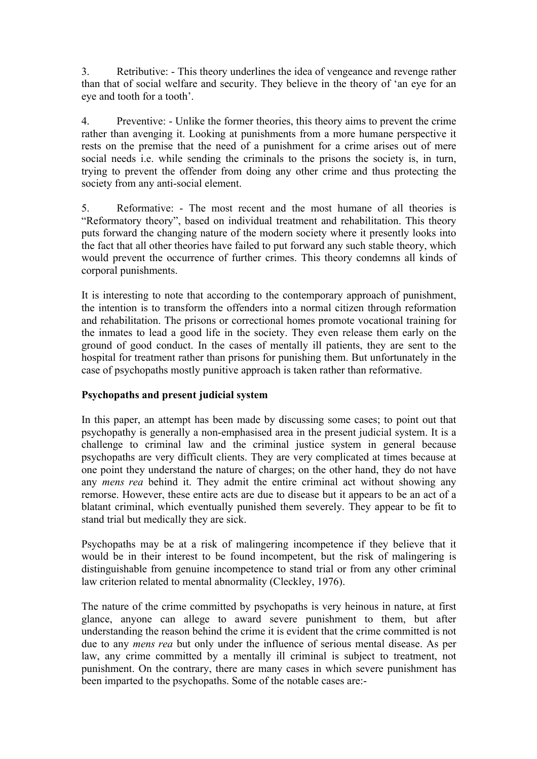3. Retributive: - This theory underlines the idea of vengeance and revenge rather than that of social welfare and security. They believe in the theory of 'an eye for an eye and tooth for a tooth'.

4. Preventive: - Unlike the former theories, this theory aims to prevent the crime rather than avenging it. Looking at punishments from a more humane perspective it rests on the premise that the need of a punishment for a crime arises out of mere social needs i.e. while sending the criminals to the prisons the society is, in turn, trying to prevent the offender from doing any other crime and thus protecting the society from any anti-social element.

5. Reformative: - The most recent and the most humane of all theories is "Reformatory theory", based on individual treatment and rehabilitation. This theory puts forward the changing nature of the modern society where it presently looks into the fact that all other theories have failed to put forward any such stable theory, which would prevent the occurrence of further crimes. This theory condemns all kinds of corporal punishments.

It is interesting to note that according to the contemporary approach of punishment, the intention is to transform the offenders into a normal citizen through reformation and rehabilitation. The prisons or correctional homes promote vocational training for the inmates to lead a good life in the society. They even release them early on the ground of good conduct. In the cases of mentally ill patients, they are sent to the hospital for treatment rather than prisons for punishing them. But unfortunately in the case of psychopaths mostly punitive approach is taken rather than reformative.

## **Psychopaths and present judicial system**

In this paper, an attempt has been made by discussing some cases; to point out that psychopathy is generally a non-emphasised area in the present judicial system. It is a challenge to criminal law and the criminal justice system in general because psychopaths are very difficult clients. They are very complicated at times because at one point they understand the nature of charges; on the other hand, they do not have any *mens rea* behind it. They admit the entire criminal act without showing any remorse. However, these entire acts are due to disease but it appears to be an act of a blatant criminal, which eventually punished them severely. They appear to be fit to stand trial but medically they are sick.

Psychopaths may be at a risk of malingering incompetence if they believe that it would be in their interest to be found incompetent, but the risk of malingering is distinguishable from genuine incompetence to stand trial or from any other criminal law criterion related to mental abnormality (Cleckley, 1976).

The nature of the crime committed by psychopaths is very heinous in nature, at first glance, anyone can allege to award severe punishment to them, but after understanding the reason behind the crime it is evident that the crime committed is not due to any *mens rea* but only under the influence of serious mental disease. As per law, any crime committed by a mentally ill criminal is subject to treatment, not punishment. On the contrary, there are many cases in which severe punishment has been imparted to the psychopaths. Some of the notable cases are:-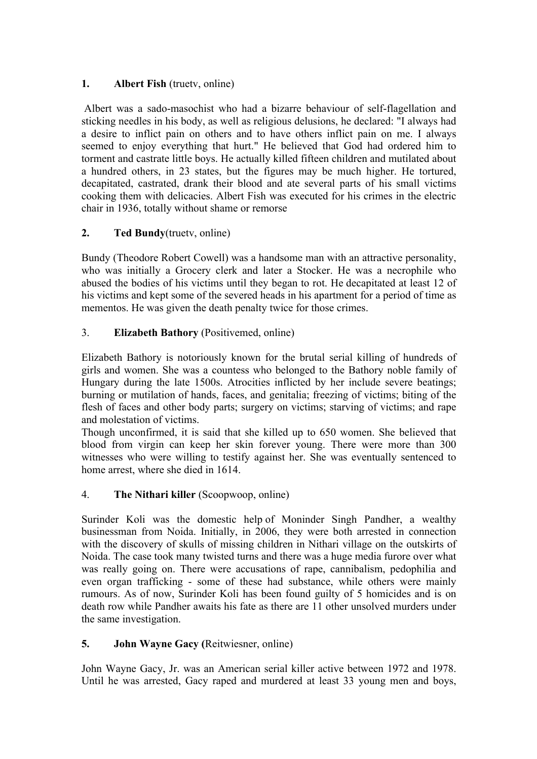# **1. Albert Fish** (truetv, online)

Albert was a sado-masochist who had a bizarre behaviour of self-flagellation and sticking needles in his body, as well as religious delusions, he declared: "I always had a desire to inflict pain on others and to have others inflict pain on me. I always seemed to enjoy everything that hurt." He believed that God had ordered him to torment and castrate little boys. He actually killed fifteen children and mutilated about a hundred others, in 23 states, but the figures may be much higher. He tortured, decapitated, castrated, drank their blood and ate several parts of his small victims cooking them with delicacies. Albert Fish was executed for his crimes in the electric chair in 1936, totally without shame or remorse

# **2. Ted Bundy**(truetv, online)

Bundy (Theodore Robert Cowell) was a handsome man with an attractive personality, who was initially a Grocery clerk and later a Stocker. He was a necrophile who abused the bodies of his victims until they began to rot. He decapitated at least 12 of his victims and kept some of the severed heads in his apartment for a period of time as mementos. He was given the death penalty twice for those crimes.

# 3. **Elizabeth Bathory** (Positivemed, online)

Elizabeth Bathory is notoriously known for the brutal serial killing of hundreds of girls and women. She was a countess who belonged to the Bathory noble family of Hungary during the late 1500s. Atrocities inflicted by her include severe beatings; burning or mutilation of hands, faces, and genitalia; freezing of victims; biting of the flesh of faces and other body parts; surgery on victims; starving of victims; and rape and molestation of victims.

Though unconfirmed, it is said that she killed up to 650 women. She believed that blood from virgin can keep her skin forever young. There were more than 300 witnesses who were willing to testify against her. She was eventually sentenced to home arrest, where she died in 1614.

# 4. **The Nithari killer** (Scoopwoop, online)

Surinder Koli was the domestic help of Moninder Singh Pandher, a wealthy businessman from Noida. Initially, in 2006, they were both arrested in connection with the discovery of skulls of missing children in Nithari village on the outskirts of Noida. The case took many twisted turns and there was a huge media furore over what was really going on. There were accusations of rape, cannibalism, pedophilia and even organ trafficking - some of these had substance, while others were mainly rumours. As of now, Surinder Koli has been found guilty of 5 homicides and is on death row while Pandher awaits his fate as there are 11 other unsolved murders under the same investigation.

# **5. John Wayne Gacy (**Reitwiesner, online)

John Wayne Gacy, Jr. was an American serial killer active between 1972 and 1978. Until he was arrested, Gacy raped and murdered at least 33 young men and boys,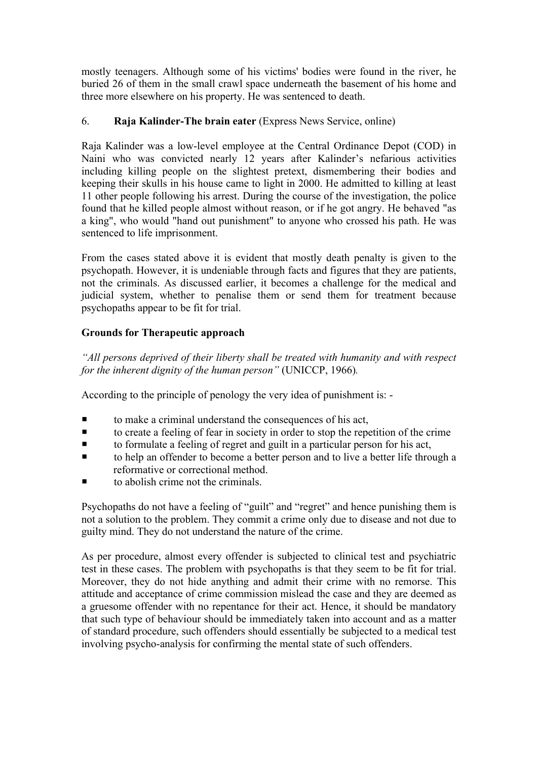mostly teenagers. Although some of his victims' bodies were found in the river, he buried 26 of them in the small crawl space underneath the basement of his home and three more elsewhere on his property. He was sentenced to death.

# 6. **Raja Kalinder-The brain eater** (Express News Service, online)

Raja Kalinder was a low-level employee at the Central Ordinance Depot (COD) in Naini who was convicted nearly 12 years after Kalinder's nefarious activities including killing people on the slightest pretext, dismembering their bodies and keeping their skulls in his house came to light in 2000. He admitted to killing at least 11 other people following his arrest. During the course of the investigation, the police found that he killed people almost without reason, or if he got angry. He behaved "as a king", who would "hand out punishment" to anyone who crossed his path. He was sentenced to life imprisonment.

From the cases stated above it is evident that mostly death penalty is given to the psychopath. However, it is undeniable through facts and figures that they are patients, not the criminals. As discussed earlier, it becomes a challenge for the medical and judicial system, whether to penalise them or send them for treatment because psychopaths appear to be fit for trial.

# **Grounds for Therapeutic approach**

*"All persons deprived of their liberty shall be treated with humanity and with respect for the inherent dignity of the human person"* (UNICCP, 1966)*.*

According to the principle of penology the very idea of punishment is: -

- $\blacksquare$  to make a criminal understand the consequences of his act,
- $\blacksquare$  to create a feeling of fear in society in order to stop the repetition of the crime
- $\blacksquare$  to formulate a feeling of regret and guilt in a particular person for his act,
- ¡ to help an offender to become a better person and to live a better life through a reformative or correctional method.
- to abolish crime not the criminals.

Psychopaths do not have a feeling of "guilt" and "regret" and hence punishing them is not a solution to the problem. They commit a crime only due to disease and not due to guilty mind. They do not understand the nature of the crime.

As per procedure, almost every offender is subjected to clinical test and psychiatric test in these cases. The problem with psychopaths is that they seem to be fit for trial. Moreover, they do not hide anything and admit their crime with no remorse. This attitude and acceptance of crime commission mislead the case and they are deemed as a gruesome offender with no repentance for their act. Hence, it should be mandatory that such type of behaviour should be immediately taken into account and as a matter of standard procedure, such offenders should essentially be subjected to a medical test involving psycho-analysis for confirming the mental state of such offenders.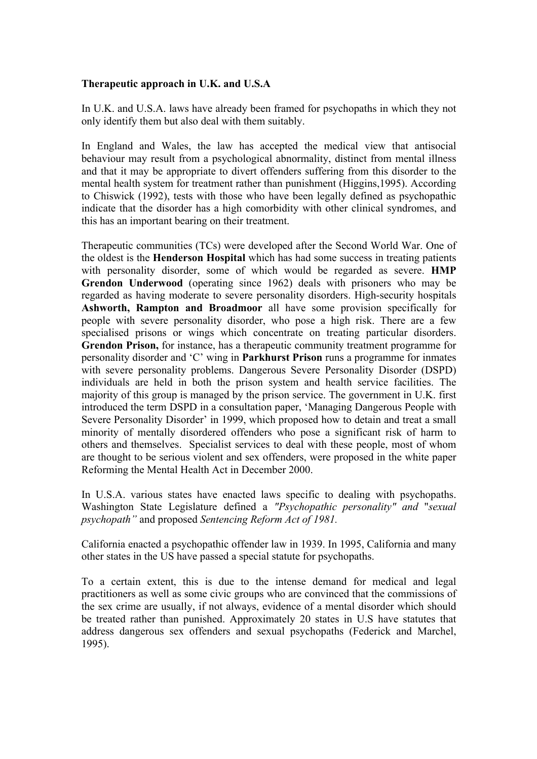#### **Therapeutic approach in U.K. and U.S.A**

In U.K. and U.S.A. laws have already been framed for psychopaths in which they not only identify them but also deal with them suitably.

In England and Wales, the law has accepted the medical view that antisocial behaviour may result from a psychological abnormality, distinct from mental illness and that it may be appropriate to divert offenders suffering from this disorder to the mental health system for treatment rather than punishment (Higgins,1995). According to Chiswick (1992), tests with those who have been legally defined as psychopathic indicate that the disorder has a high comorbidity with other clinical syndromes, and this has an important bearing on their treatment.

Therapeutic communities (TCs) were developed after the Second World War. One of the oldest is the **Henderson Hospital** which has had some success in treating patients with personality disorder, some of which would be regarded as severe. **HMP Grendon Underwood** (operating since 1962) deals with prisoners who may be regarded as having moderate to severe personality disorders. High-security hospitals **Ashworth, Rampton and Broadmoor** all have some provision specifically for people with severe personality disorder, who pose a high risk. There are a few specialised prisons or wings which concentrate on treating particular disorders. **Grendon Prison,** for instance, has a therapeutic community treatment programme for personality disorder and 'C' wing in **Parkhurst Prison** runs a programme for inmates with severe personality problems. Dangerous Severe Personality Disorder (DSPD) individuals are held in both the prison system and health service facilities. The majority of this group is managed by the prison service. The government in U.K. first introduced the term DSPD in a consultation paper, 'Managing Dangerous People with Severe Personality Disorder' in 1999, which proposed how to detain and treat a small minority of mentally disordered offenders who pose a significant risk of harm to others and themselves. Specialist services to deal with these people, most of whom are thought to be serious violent and sex offenders, were proposed in the white paper Reforming the Mental Health Act in December 2000.

In U.S.A. various states have enacted laws specific to dealing with psychopaths. Washington State Legislature defined a *"Psychopathic personality" and* "*sexual psychopath"* and proposed *Sentencing Reform Act of 1981.*

California enacted a psychopathic offender law in 1939. In 1995, California and many other states in the US have passed a special statute for psychopaths.

To a certain extent, this is due to the intense demand for medical and legal practitioners as well as some civic groups who are convinced that the commissions of the sex crime are usually, if not always, evidence of a mental disorder which should be treated rather than punished. Approximately 20 states in U.S have statutes that address dangerous sex offenders and sexual psychopaths (Federick and Marchel, 1995).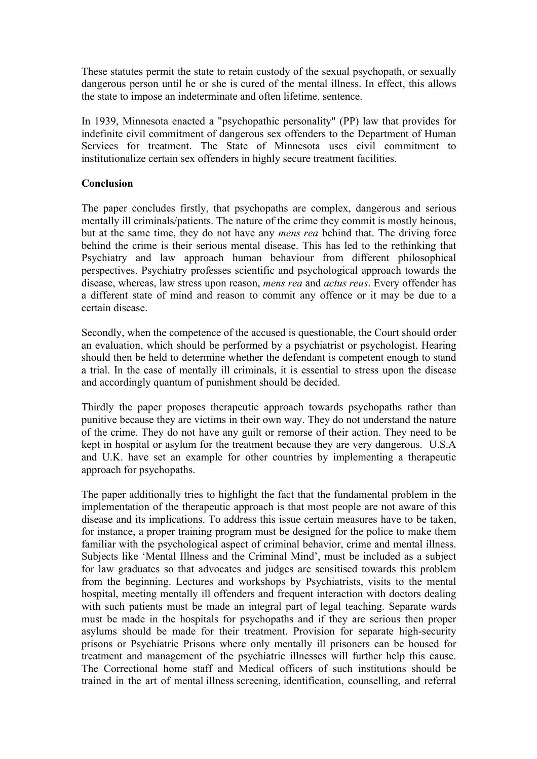These statutes permit the state to retain custody of the sexual psychopath, or sexually dangerous person until he or she is cured of the mental illness. In effect, this allows the state to impose an indeterminate and often lifetime, sentence.

In 1939, Minnesota enacted a "psychopathic personality" (PP) law that provides for indefinite civil commitment of dangerous sex offenders to the Department of Human Services for treatment. The State of Minnesota uses civil commitment to institutionalize certain sex offenders in highly secure treatment facilities.

#### **Conclusion**

The paper concludes firstly, that psychopaths are complex, dangerous and serious mentally ill criminals/patients. The nature of the crime they commit is mostly heinous, but at the same time, they do not have any *mens rea* behind that. The driving force behind the crime is their serious mental disease. This has led to the rethinking that Psychiatry and law approach human behaviour from different philosophical perspectives. Psychiatry professes scientific and psychological approach towards the disease, whereas, law stress upon reason, *mens rea* and *actus reus*. Every offender has a different state of mind and reason to commit any offence or it may be due to a certain disease.

Secondly, when the competence of the accused is questionable, the Court should order an evaluation, which should be performed by a psychiatrist or psychologist. Hearing should then be held to determine whether the defendant is competent enough to stand a trial. In the case of mentally ill criminals, it is essential to stress upon the disease and accordingly quantum of punishment should be decided.

Thirdly the paper proposes therapeutic approach towards psychopaths rather than punitive because they are victims in their own way. They do not understand the nature of the crime. They do not have any guilt or remorse of their action. They need to be kept in hospital or asylum for the treatment because they are very dangerous. U.S.A and U.K. have set an example for other countries by implementing a therapeutic approach for psychopaths.

The paper additionally tries to highlight the fact that the fundamental problem in the implementation of the therapeutic approach is that most people are not aware of this disease and its implications. To address this issue certain measures have to be taken, for instance, a proper training program must be designed for the police to make them familiar with the psychological aspect of criminal behavior, crime and mental illness. Subjects like 'Mental Illness and the Criminal Mind', must be included as a subject for law graduates so that advocates and judges are sensitised towards this problem from the beginning. Lectures and workshops by Psychiatrists, visits to the mental hospital, meeting mentally ill offenders and frequent interaction with doctors dealing with such patients must be made an integral part of legal teaching. Separate wards must be made in the hospitals for psychopaths and if they are serious then proper asylums should be made for their treatment. Provision for separate high-security prisons or Psychiatric Prisons where only mentally ill prisoners can be housed for treatment and management of the psychiatric illnesses will further help this cause. The Correctional home staff and Medical officers of such institutions should be trained in the art of mental illness screening, identification, counselling, and referral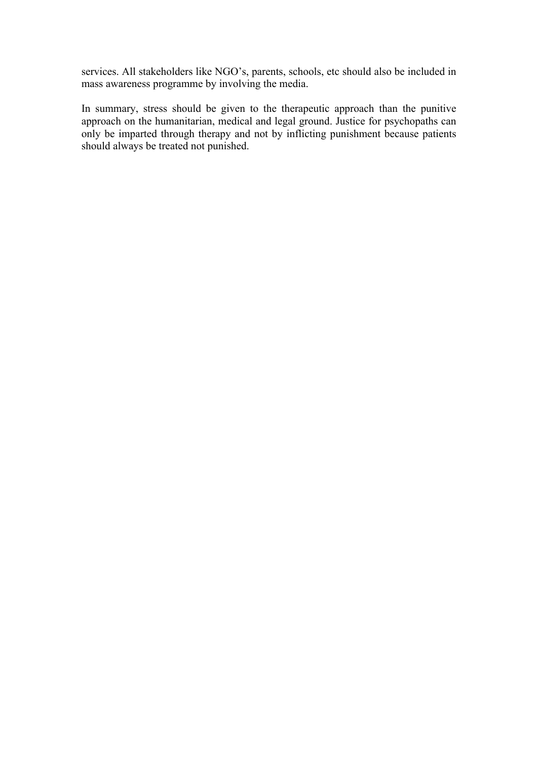services. All stakeholders like NGO's, parents, schools, etc should also be included in mass awareness programme by involving the media.

In summary, stress should be given to the therapeutic approach than the punitive approach on the humanitarian, medical and legal ground. Justice for psychopaths can only be imparted through therapy and not by inflicting punishment because patients should always be treated not punished.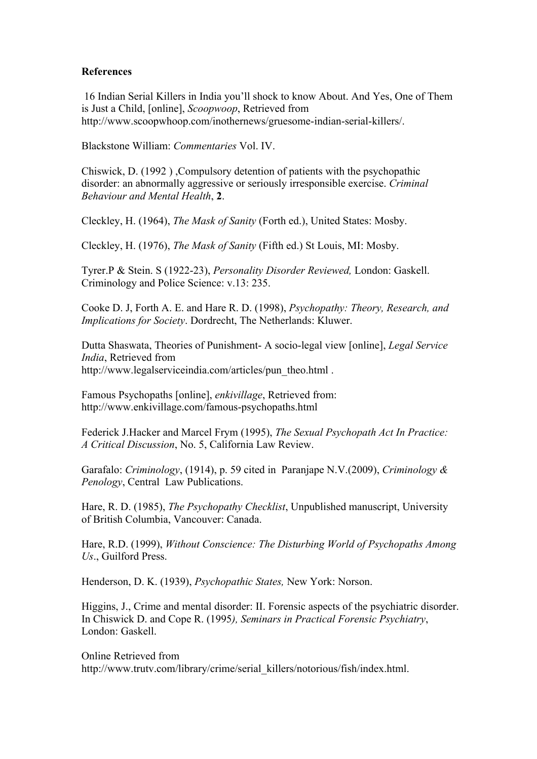#### **References**

16 Indian Serial Killers in India you'll shock to know About. And Yes, One of Them is Just a Child, [online], *Scoopwoop*, Retrieved from http://www.scoopwhoop.com/inothernews/gruesome-indian-serial-killers/.

Blackstone William: *Commentaries* Vol. IV.

Chiswick, D. (1992 ) ,Compulsory detention of patients with the psychopathic disorder: an abnormally aggressive or seriously irresponsible exercise. *Criminal Behaviour and Mental Health*, **2**.

Cleckley, H. (1964), *The Mask of Sanity* (Forth ed.), United States: Mosby.

Cleckley, H. (1976), *The Mask of Sanity* (Fifth ed.) St Louis, MI: Mosby.

Tyrer.P & Stein. S (1922-23), *Personality Disorder Reviewed,* London: Gaskell. Criminology and Police Science: v.13: 235.

Cooke D. J, Forth A. E. and Hare R. D. (1998), *Psychopathy: Theory, Research, and Implications for Society*. Dordrecht, The Netherlands: Kluwer.

Dutta Shaswata, Theories of Punishment- A socio-legal view [online], *Legal Service India*, Retrieved from http://www.legalserviceindia.com/articles/pun\_theo.html .

Famous Psychopaths [online], *enkivillage*, Retrieved from: http://www.enkivillage.com/famous-psychopaths.html

Federick J.Hacker and Marcel Frym (1995), *The Sexual Psychopath Act In Practice: A Critical Discussion*, No. 5, California Law Review.

Garafalo: *Criminology*, (1914), p. 59 cited in Paranjape N.V.(2009), *Criminology & Penology*, Central Law Publications.

Hare, R. D. (1985), *The Psychopathy Checklist*, Unpublished manuscript, University of British Columbia, Vancouver: Canada.

Hare, R.D. (1999), *Without Conscience: The Disturbing World of Psychopaths Among Us*., Guilford Press.

Henderson, D. K. (1939), *Psychopathic States,* New York: Norson.

Higgins, J., Crime and mental disorder: II. Forensic aspects of the psychiatric disorder. In Chiswick D. and Cope R. (1995*), Seminars in Practical Forensic Psychiatry*, London: Gaskell.

Online Retrieved from http://www.trutv.com/library/crime/serial\_killers/notorious/fish/index.html.